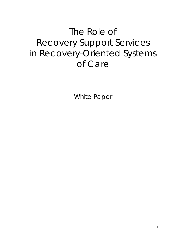# The Role of Recovery Support Services in Recovery-Oriented Systems of Care

White Paper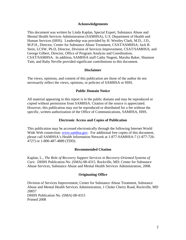#### **Acknowledgements**

This document was written by Linda Kaplan, Special Expert, Substance Abuse and Mental Health Services Administration (SAMHSA), U.S. Department of Health and Human Services (HHS). Leadership was provided by H. Westley Clark, M.D., J.D., M.P.H., Director, Center for Substance Abuse Treatment, CSAT/SAMHSA; Jack B. Stein, LCSW, Ph.D, Director, Division of Services Improvement, CSAT/SAMHSA; and George Gilbert, Director, Office of Program Analysis and Coordination, CSAT/SAMHSA. In addition, SAMHSA staff Cathy Nugent, Marsha Baker, Shannon Taitt, and Ruby Neville provided significant contributions to this document.

#### **Disclaimer**

The views, opinions, and content of this publication are those of the author do not necessarily reflect the views, opinions, or policies of SAMHSA or HHS.

#### **Public Domain Notice**

All material appearing in this report is in the public domain and may be reproduced or copied without permission from SAMHSA. Citation of the source is appreciated. However, this publication may *not* be reproduced or distributed for a fee without the specific, written authorization of the Office of Communications, SAMHSA, HHS.

#### **Electronic Access and Copies of Publication**

This publication may be accessed electronically through the following Internet World Wide Web connection: [www.samhsa.gov.](http://www.samhsa.gov/) For additional free copies of this document, please call SAMHSA's Health Information Network at 1-877-SAMHSA-7 (1-877-726- 4727) or 1-800-487-4889 (TDD).

#### **Recommended Citation**

Kaplan, L., *The Role of Recovery Support Services in Recovery-Oriented Systems of Care.* DHHS Publication No. (SMA) 08-4315. Rockville, MD: Center for Substance Abuse Services, Substance Abuse and Mental Health Services Administration, 2008.

#### **Originating Office**

Division of Services Improvement, Center for Substance Abuse Treatment, Substance Abuse and Mental Health Services Administration, 1 Choke Cherry Road, Rockville, MD 20857 DHHS Publication No. (SMA) 08-4315 Printed 2008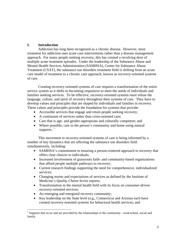# **I. Introduction**

 $\overline{a}$ 

Addiction has long been recognized as a chronic disease. However, most treatment for addiction uses acute care interventions rather than a disease management approach. For many people seeking recovery, this has created a revolving door of multiple acute treatment episodes. Under the leadership of the Substance Abuse and Mental Health Services Administration (SAMHSA), Center for Substance Abuse Treatment (CSAT), the substance use disorders treatment field is shifting from an acute care model of treatment to a chronic care approach, known as recovery-oriented systems of care.

Creating recovery-oriented systems of care requires a transformation of the entire service system as it shifts to becoming responsive to meet the needs of individuals and families seeking services. To be effective, recovery-oriented systems must infuse the language, culture, and spirit of recovery throughout their systems of care. They have to develop values and principles that are shaped by individuals and families in recovery. These values and principles provide the foundation for systems that provide:

- Accessible services that engage and retain people seeking recovery;
- A continuum of services rather than crisis-oriented care;
- Care that is age- and gender-appropriate and culturally competent; and
- Where possible, care in the person's community and home using natural supports.  $\frac{1}{1}$  $\frac{1}{1}$  $\frac{1}{1}$

This movement to recovery-oriented systems of care is being informed by a number of key dynamics that are affecting the substance use disorders field simultaneously, including:

- SAMHSA's commitment to ensuring a person-centered approach to recovery that offers clear choices to individuals;
- Increased involvement of grassroots faith- and community-based organizations that afford people multiple pathways to recovery;
- Current research findings supporting the need for comprehensive, individualized services;
- Changing norms and expectations of services as defined by the Institute of Medicine's *Quality Chasm Series* reports;
- Transformation in the mental health field with its focus on consumer-driven recovery-oriented services;
- An emerging and energized recovery community;
- Key leadership on the State level (e.g., Connecticut and Arizona each have created recovery-oriented systems for behavioral health services; and

<span id="page-2-0"></span><sup>&</sup>lt;sup>1</sup> Supports that occur and are provided by the relationships in the community - work/school, social and family.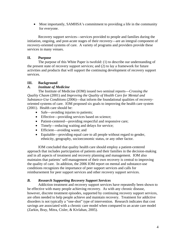• Most importantly, SAMHSA's commitment to providing a life in the community for everyone.

Recovery support services—services provided to people and families during the initiation, ongoing, and post-acute stages of their recovery—are an integral component of recovery-oriented systems of care. A variety of programs and providers provide these services in many venues.

# **II. Purpose**

The purpose of this White Paper is twofold: (1) to describe our understanding of the present state of recovery support services; and (2) to lay a framework for future activities and products that will support the continuing development of recovery support services.

# **III. Background**

# *A. Institute of Medicine*

 The Institute of Medicine (IOM) issued two seminal reports—*Crossing the Quality Chasm* (2001) and *Improving the Quality of Health Care for Mental and Substance-Use Conditions* (2006)—that inform the foundational qualities of recoveryoriented systems of care. IOM proposed six goals to improving the health care system (2001). Health care should be:

- Safe—avoiding injuries to patients;
- Effective—providing services based on science;
- Patient-centered—providing respectful and responsive care;
- Timely—reducing waiting and delays for service;
- Efficient—avoiding waste; and
- Equitable—providing equal care to all people without regard to gender, ethnicity, geography, socioeconomic status, or any other factor.

 IOM concluded that quality health care should employ a patient-centered approach that includes participation of patients and their families in the decision-making and in all aspects of treatment and recovery planning and management. IOM also maintains that patients' self-management of their own recovery is central to improving the quality of care. In addition, the 2006 IOM report on mental and substance-use conditions recognizes the importance of peer support services and calls for reimbursement for peer support services and other recovery support services.

# *B. Research Supporting Recovery Support Services*

 Addiction treatment and recovery support services have repeatedly been shown to be effective with many people achieving recovery. As with any chronic disease, however, discrete treatment episodes, supported by continuing recovery support services, are often needed to help people achieve and maintain recovery. Treatment for addictive disorders is not typically a "one-shot" type of intervention. Research indicates that cost savings are associated with a chronic care model when compared to an acute care model (Zarkin, Bray, Mitra, Cisler, & Kivlahan, 2005).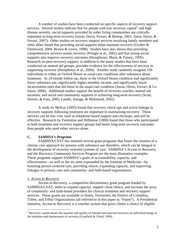A number of studies have been conducted on specific aspects of recovery support services. Several studies indicate that for people with low recovery capital<sup>[2](#page-4-0)</sup> and high disease severity, social supports provided by sober living communities are critically important to long-term recovery (Jason, Davis, Ferrari, & Bishop, 2001; Jason, Davis, & Ferrari, 2007). Other studies on recovery support services involving family members and other allies found that providing social supports helps maintain recovery (Gruber & Fleetwood, 2004; Brown & Lewis, 1998). Studies have also shown that providing comprehensive services assists recovery (Pringle et al., 2002) and that strong social supports also improve recovery outcomes (Humphreys, Moos, & Finney, 1995). Research on peer-recovery support, in addition to the many studies that have been conducted on mutual aid groups, provides evidence for the effectiveness of services in supporting recovery (Humphreys et al., 2004). Another study randomly assigned 150 individuals to either an Oxford House or usual-care conditions after substance abuse treatment. At 24-month follow-up, those in the Oxford House condition had significantly lower substance use, significantly higher monthly income, and significantly lower incarceration rates that did those in the usual-care condition (Jason, Olson, Ferrari, & Lo Sasso, 2006). Additional studies support the benefit of recovery coaches, mutual aid societies, and social and community supports in achieving long-term recovery (Scott, Dennis, & Foss, 2005; Laudet, Savage, & Mahmood, 2002).

 A study by McKay (2005) found that recovery check-ups and active linkage to recovery supports following treatment are important in maintaining recovery. These services can be low cost, such as telephone-based support and checkups, and still be effective. Research by Fiorentine and Hillhouse (2000) found that those who participated in both treatment and recovery support groups had better long-term recovery outcomes than people who used either service alone.

#### *C. SAMHSA's Programs*

SAMHSA/CSAT has initiated several grant programs that foster the creation of a chronic care approach for persons with substance use disorders, which can be integral to the development of recovery-oriented systems of care. SAMHSA's Access to Recovery and the Recovery Community Services Program are the most illustrative examples. These programs support SAMHSA's goals of accountability, capacity, and effectiveness—as well as the six aims expounded by the Institute of Medicine—by fostering person-centered care, providing choice, expanding capacity, and improving linkages to primary care and community- and faith-based organizations.

#### *1. Access to Recovery*

1

Access to Recovery, a competitive discretionary grant program funded by SAMHSA/CSAT, seeks to expand capacity, support client choice, and increase the array of community- and faith-based providers for clinical treatment and recovery support services. These grants are available to States, Territories, the District of Columbia, Tribes, and Tribal Organizations (all referred to in this paper as "States"). A Presidential initiative, Access to Recovery is a voucher system that gives clients a choice of eligible

<span id="page-4-0"></span> $2^{2}$  Recovery capital means the quantity and quality of internal and external resources an individual brings to the initiation and maintenance of recovery (Granfield & Cloud, 1999).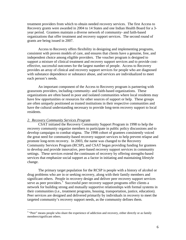treatment providers from which to obtain needed recovery services. The first Access to Recovery grants were awarded in 2004 to 14 States and one Indian Health Board for a 3 year period. Grantees maintain a diverse network of community- and faith-based organizations that offer treatment and recovery support services. The second round of grants are being issued in 2007.

Access to Recovery offers flexibility in designing and implementing programs, consistent with proven models of care, and ensures that clients have a genuine, free, and independent choice among eligible providers. The voucher program is designed to support a mixture of clinical treatment and recovery support services and to provide costeffective, successful outcomes for the largest number of people. Access to Recovery provides an array of clinical and recovery support services for people who are diagnosed with substance dependence or substance abuse, and services are individualized to meet each person's needs.

An important component of the Access to Recovery program is partnering with grassroots providers, including community- and faith-based organizations. These organizations are often based in poor and isolated communities where local residents may have few opportunities or resources for other sources of support or help. These groups are often uniquely positioned as trusted institutions in their respective communities and have the cultural understanding necessary to provide long-term recovery support to local residents.

#### *2. Recovery Community Services Program*

CSAT initiated the Recovery Community Support Program in 1998 to help the recovery community organize members to participate in public policy discussions and to develop campaigns to combat stigma. The 1998 cohort of grantees consistently voiced the great need for community-based recovery support services to help prevent relapse and promote long-term recovery. In 2003, the name was changed to the Recovery Community Services Program (RCSP), and CSAT began providing funding for grantees to develop and provide innovative, peer-based recovery support services in community settings. These services extend the continuum of recovery by offering strengths-based services that emphasize social support as a factor in initiating and maintaining lifestyle change.

The primary target population for the RCSP is people with a history of alcohol or drug problems who are in or seeking recovery, along with their family members and significant others. People in recovery design and deliver peer recovery support services serve as peer providers.<sup>[3](#page-5-0)</sup> Successful peer recovery support programs offer clients a network for building strong and mutually supportive relationships with formal systems in their communities (i.e., treatment programs, housing, transportation, justice, education). Peer services are designed and delivered primarily by individuals in recovery to meet the targeted community's recovery support needs, as the community defines them.

<span id="page-5-0"></span><sup>&</sup>lt;sup>3</sup> "Peer" means people who share the experience of addiction and recovery, either directly or as family members/significant others.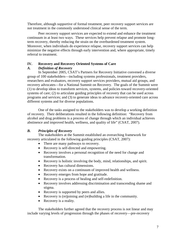Therefore, although supportive of formal treatment, peer recovery support services are not treatment in the commonly understood clinical sense of the term.

Peer recovery support services are expected to extend and enhance the treatment continuum in at least two ways. These services help prevent relapse and promote longterm recovery, thereby reducing the strain on the overburdened treatment system. Moreover, when individuals do experience relapse, recovery support services can help minimize the negative effects through early intervention and, where appropriate, timely referral to treatment.

## **IV. Recovery and Recovery Oriented Systems of Care**

## *A. Definition of Recovery*

In September 2005, CSAT's Partners for Recovery Initiative convened a diverse group of 100 stakeholders—including systems professionals, treatment providers, researchers and evaluators, recovery support services providers, mutual aid groups, and recovery advocates—for a National Summit on Recovery. The goals of the Summit were (1) to develop ideas to transform services, systems, and policies toward recovery-oriented systems of care; (2) to articulate guiding principles of recovery that can be used across programs and services; and (3) to generate ideas to advance recovery-oriented care across different systems and for diverse populations.

One of the tasks assigned to the stakeholders was to develop a working definition of recovery. Their deliberations resulted in the following definition: "Recovery from alcohol and drug problems is a process of change through which an individual achieves abstinence and improved health, wellness, and quality of life" (CSAT, 2007).

# *B. Principles of Recovery*

The stakeholders at the Summit established an overarching framework for recovery articulated in the following guiding principles (CSAT, 2007):

- There are many pathways to recovery.
- Recovery is self-directed and empowering.
- Recovery involves a personal recognition of the need for change and transformation.
- Recovery is holistic involving the body, mind, relationships, and spirit.
- Recovery has cultural dimensions.
- Recovery exists on a continuum of improved health and wellness.
- Recovery emerges from hope and gratitude.
- Recovery is a process of healing and self-redefinition.
- Recovery involves addressing discrimination and transcending shame and stigma.
- Recovery is supported by peers and allies.
- Recovery is (re)joining and (re)building a life in the community.
- Recovery is a reality.

The stakeholders further agreed that the recovery process is not linear and may include varying levels of progression through the phases of recovery—pre-recovery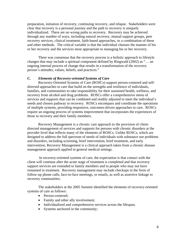preparation, initiation of recovery, continuing recovery, and relapse. Stakeholders were clear that recovery is a personal journey and the path to recovery is uniquely individualized. There are no wrong paths to recovery. Recovery may be achieved through any number of ways, including natural recovery, mutual support groups, peer recovery services, clinical treatment, faith-based approaches, or a combination of these and other methods. The critical variable is that the individual chooses the manner of his or her recovery and the services most appropriate to managing his or her recovery.

There was consensus that the recovery process is a holistic approach to lifestyle changes that may include a spiritual component defined by Ringwald (2002) as "… an ongoing internal process of change that results in a transformation of the recovery person's attitudes, values, beliefs, and practices."

#### *C. Elements of Recovery-oriented Systems of Care*

Recovery-Oriented Systems of Care (ROSCs) support person-centered and selfdirected approaches to care that build on the strengths and resilience of individuals, families, and communities to take responsibility for their sustained health, wellness, and recovery from alcohol and drug problems. ROSCs offer a comprehensive menu of services and supports that can be combined and readily adjusted to meet the individual's needs and chosen pathway to recovery. ROSCs encompass and coordinate the operations of multiple systems, providing responsive, outcomes-driven approaches to care. ROSCs require an ongoing process of systems improvement that incorporates the experiences of those in recovery and their family members.

Recovery Management is a chronic care approach to the provision of clientdirected management of services and supports for persons with chronic disorders at the provider level that reflects many of the elements of ROSCs. Unlike ROSCs, which are designed to address the full spectrum of needs of individuals with substance use problems and disorders, including screening, brief intervention, brief treatment, and early intervention, Recovery Management is a clinical approach taken from a chronic disease management approach applied in general medical settings.

 In recovery-oriented systems of care, the expectation is that contact with the client will continue after the acute stage of treatment is completed and that recovery support services are extended to family members and to people who may not have remained in treatment. Recovery management may include checkups in the form of follow-up phone calls, face-to-face meetings, or emails, as well as assertive linkage to recovery communities.

The stakeholders at the 2005 Summit identified the elements of recovery-oriented systems of care as follows:

- Person-centered;
- Family and other ally involvement;
- Individualized and comprehensive services across the lifespan;
- Systems anchored in the community;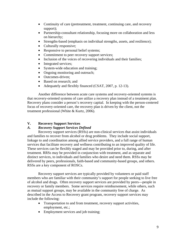- Continuity of care (pretreatment, treatment, continuing care, and recovery support);
- Partnership-consultant relationship, focusing more on collaboration and less on hierarchy;
- Strengths-based (emphasis on individual strengths, assets, and resilience);
- Culturally responsive;
- Responsive to personal belief systems;
- Commitment to peer recovery support services;
- Inclusion of the voices of recovering individuals and their families;
- Integrated services;
- System-wide education and training;
- Ongoing monitoring and outreach;
- Outcomes-driven:
- Based on research; and
- Adequately and flexibly financed (CSAT, 2007, p. 12-13).

Another difference between acute care systems and recovery-oriented systems is that recovery-oriented systems of care utilize a recovery plan instead of a treatment plan. Recovery plans consider a person's recovery capital. In keeping with the person-centered focus of recovery-oriented care, the recovery plan is driven by the client, not the treatment professional (White & Kurtz, 2006).

#### **V. Recovery Support Services**

#### *A. Recovery Support Services Defined*

Recovery support services (RSSs) are non-clinical services that assist individuals and families to recover from alcohol or drug problems. They include social support, linkage to and coordination among allied service providers, and a full range of human services that facilitate recovery and wellness contributing to an improved quality of life. These services can be flexibly staged and may be provided prior to, during, and after treatment. RRSs may be provided in conjunction with treatment, and as separate and distinct services, to individuals and families who desire and need them. RSSs may be delivered by peers, professionals, faith-based and community-based groups, and others. RSSs are a key component of ROSCs.

Recovery support services are typically provided by volunteers or paid staff members who are familiar with their community's support for people seeking to live free of alcohol and drugs. Often recovery support services are provided by peers—people in recovery or family members. Some services require reimbursement, while others, such as mutual support groups, may be available in the community free of charge. As described in the Access to Recovery grant program, recovery support services may include the following:

- Transportation to and from treatment, recovery support activities, employment, etc.;
- Employment services and job training;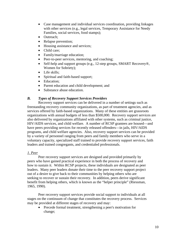- Case management and individual services coordination, providing linkages with other services (e.g., legal services, Temporary Assistance for Needy Families, social services, food stamps);
- Outreach:
- Relapse prevention;
- Housing assistance and services;
- Child care:
- Family/marriage education;
- Peer-to-peer services, mentoring, and coaching;
- Self-help and support groups (e.g., 12-step groups, SMART Recovery<sup>®</sup>, Women for Sobriety);
- Life skills:
- Spiritual and faith-based support;
- Education;
- Parent education and child development; and
- Substance abuse education.

# *B. Types of Recovery Support Services Providers*

Recovery support services can be delivered in a number of settings such as freestanding recovery community organizations, as part of treatment agencies, and as services offered by faith-based organizations. Many of these entities are grassroots organizations with annual budgets of less than \$500,000. Recovery support services are also delivered by organizations affiliated with other systems, such as criminal justice, HIV/AIDS services, and child welfare. A number of RCSP grantees are housed—and have peers providing services for recently released offenders—in jails, HIV/AIDS programs, and child welfare agencies. Also, recovery support services can be provided by a variety of personnel ranging from peers and family members who serve in a voluntary capacity, specialized staff trained to provide recovery support services, faith leaders and trained congregants, and credentialed professionals.

# *1. Peer*

Peer recovery support services are designed and provided primarily by peers who have gained practical experience in both the process of recovery and how to sustain it. Within RCSP projects, these individuals are designated as peer leaders. Many peer leaders donate their time to the peer recovery support project out of a desire to give back to their communities by helping others who are seeking to recover or sustain their recovery. In addition, peers derive significant benefit from helping others, which is known as the "helper principle" (Riessman, 1965, 1990).

Peer recovery support services provide social support to individuals at all stages on the continuum of change that constitutes the recovery process. Services may be provided at different stages of recovery and may:

• Precede formal treatment, strengthening a peer's motivation for change;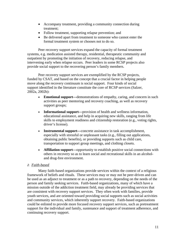- Accompany treatment, providing a community connection during treatment;
- Follow treatment, supporting relapse prevention; and
- Be delivered apart from treatment to someone who cannot enter the formal treatment system or chooses not to do so.

Peer recovery support services expand the capacity of formal treatment systems, e.g. medication assisted therapy, residential, therapeutic community and outpatient by promoting the initiation of recovery, reducing relapse, and intervening early when relapse occurs. Peer leaders in some RCSP projects also provide social support to the recovering person's family members.

Peer recovery support services are exemplified by the RCSP projects, funded by CSAT, and based on the concept that a crucial factor in helping people move along the recovery continuum is social support. Four kinds of social support identified in the literature constitute the core of RCSP services (Salzer, 2002a, 2002b):

- **Emotional support—**demonstrations of empathy, caring, and concern in such activities as peer mentoring and recovery coaching, as well as recovery support groups;
- **Informational support—**provision of health and wellness information, educational assistance, and help in acquiring new skills, ranging from life skills to employment readiness and citizenship restoration (e.g., voting rights, driver's license).
- **Instrumental support**—concrete assistance in task accomplishment, especially with stressful or unpleasant tasks (e.g., filling out applications, obtaining public benefits), or providing supports such as child care, transportation to support group meetings, and clothing closets.
- **Affiliation support—**opportunity to establish positive social connections with others in recovery so as to learn social and recreational skills in an alcoholand drug-free environment.

# *2. Faith-based*

Many faith-based organizations provide services within the context of a religious framework of beliefs and rituals. These services may or may not be peer-driven and can be used as an adjunct to treatment or as a path to recovery, depending on the needs of the person and family seeking services. Faith-based organizations, many of which have a mission outside of the addiction treatment field, may already be providing services that are consistent with recovery support services. They often work with families, provide youth services, and are oriented toward providing social supports such as social activities and community services, which inherently support recovery. Faith-based organizations could be enlisted to provide more focused recovery support services, such as pretreatment support for the individual and family, sustenance and support of treatment adherence, and continuing recovery support.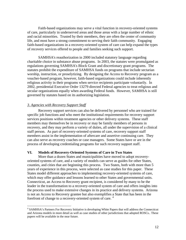Faith-based organizations may serve a vital function in recovery-oriented systems of care, particularly in underserved areas and those areas with a large number of ethnic and racial minorities. Trusted by their members, they are often the center of community life, and most have a strong commitment to serving their faith community. Engaging faith-based organizations in a recovery-oriented system of care can help expand the types of recovery services offered to people and families seeking such support.

SAMHSA's reauthorization in 2000 included statutory language regarding charitable choice in substance abuse programs. In 2003, the statutes were promulgated as regulations governing SAMHSA's Block Grant and discretionary grant programs. The statutes prohibit the expenditure of SAMHSA funds on programs that include sectarian worship, instruction, or proselytizing. By designing the Access to Recovery program as a voucher-based program, however, faith-based organizations could include inherently religious activity in their programs when service recipients participate voluntarily. In 2002, presidential Executive Order 13279 directed Federal agencies to treat religious and secular organizations equally when awarding Federal funds. However, SAMHSA is still governed by statutes based on its authorizing legislation.

#### *3. Agencies with Recovery Support Staff*

1

 Recovery support services can also be delivered by personnel who are trained for specific job functions and who meet the institutional requirements for recovery support services positions within treatment agencies or other delivery systems. These staff members may themselves be in recovery or may be family members of persons in recovery, and they may perform a variety of duties, all under the supervision of a clinical staff person. As part of recovery-oriented systems of care, recovery support staff members assist in the implementation of aftercare and assertive continuing care. They can also serve as recovery coaches or case managers. Some States have or are in the process of developing credentialing programs for such recovery support staff.

#### **VI. Models of Recovery-Oriented Systems of Care in Two States**

 More than a dozen States and municipalities have moved to adopt recoveryoriented systems of care, and a variety of models can serve as guides for other States, counties, and cities that are beginning this process. Two States, both with more than 5 years of experience in this process, were selected as case studies for this paper. These States model different approaches to implementing recovery-oriented systems of care, which may offer guidance and lessons learned to other States and governmental units. Connecticut, an Access to Recovery grant recipient, is considered by many to be the leader in the transformation to a recovery-oriented system of care and offers insights into the process used to make extensive changes in its practice and delivery systems. Arizona is not an Access to Recovery grantee but also exemplifies a State that has been in the forefront of change to a recovery-oriented system of care.<sup>[4](#page-11-0)</sup>

<span id="page-11-0"></span><sup>&</sup>lt;sup>4</sup> SAMHSA's Partners For Recovery Initiative is developing White Papers that will address the Connecticut and Arizona models in more detail as well as case studies of other jurisdictions that adopted ROSCs.. These papers will be available in the near future.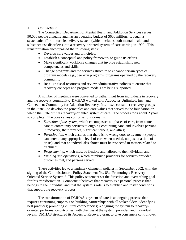## *A. Connecticut*

 The Connecticut Department of Mental Health and Addiction Services serves 90,000 people annually and has an operating budget of \$600 million. It began a systematic effort to turn its delivery system (which includes both mental health and substance use disorders) into a recovery-oriented system of care starting in 1999. This transformation encompassed the following steps:

- Develop core values and principles.
- Establish a conceptual and policy framework to guide its efforts.
- Make significant workforce changes that involve establishing new competencies and skills.
- Change programs and the services structure to enhance certain types of program models (e.g., peer-run programs, programs operated by the recovery community).
- Re-align fiscal resources and review administrative policies to ensure that recovery concepts and program models are being supported.

 A number of meetings were convened to gather input from individuals in recovery and the recovery community. DMHAS worked with Advocates Unlimited, Inc., and Connecticut Community for Addiction Recovery, Inc.—two consumer recovery groups in the State—to develop the principles and core values that served as the foundation on which the State built its recovery-oriented system of care. The process took about 2 years to complete. The core values comprise four domains:

- *Direction of the system,* which encompasses all phases of care, from acute care to community services to ongoing continuing care, and involves persons in recovery, their families, significant others, and allies;
- *Participation*, which ensures that there is no wrong door to treatment (people can enter at any appropriate level of care when needed, not just at a time of crisis), and that an individual's choice must be respected in matters related to treatment;
- *Programming,* which must be flexible and tailored to the individual; and
- *Funding and operations*, which reimburse providers for services provided, outcomes met, and persons served.

These activities led to a landmark change in policies in September 2002, with the signing of the Commissioner's Policy Statement No. 83: "Promoting a Recovery-Oriented Service System." This policy statement set the direction and overarching goal for this transformation. Connecticut believes that recovery is a personal process that belongs to the individual and that the system's role is to establish and foster conditions that support the recovery process.

The transformation of DMHAS's system of care is an ongoing process that requires continuing emphasis on building partnerships with all stakeholders; identifying best practices; promoting cultural competencies; realigning the system to recoveryoriented performance outcomes, with changes at the system, provider, and individual levels. DMHAS structured its Access to Recovery grant to give consumers control over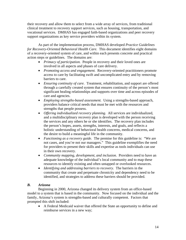their recovery and allow them to select from a wide array of services, from traditional clinical treatment to recovery support services, such as housing, transportation, and vocational services. DMHAS has engaged faith-based organizations and peer recovery support organizations as key service providers within its system.

As part of the implementation process, DMHAS developed *Practice Guidelines for Recovery-Oriented Behavioral Health Care.* This document identifies eight domains of a recovery-oriented system of care, and within each presents concrete and practical action steps or guidelines. The domains are:

- *Primacy of participation.* People in recovery and their loved ones are involved in all aspects and phases of care delivery.
- *Promoting access and engagement.* Recovery-oriented practitioners promote access to care by facilitating swift and uncomplicated entry and by removing barriers to care.
- *Ensuring continuity of care.* Treatment, rehabilitation, and support are offered through a carefully created system that ensures continuity of the person's most significant healing relationships and supports over time and across episodes of care and agencies.
- *Employing strengths-based assessment.* Using a strengths-based approach, providers balance critical needs that must be met with the resources and strengths that people possess.
- *Offering individualized recovery planning.* All services are individualized, and a multidisciplinary recovery plan is developed with the person receiving the services and any others he or she identifies. The recovery plan includes the person's hopes, assets, strengths, interests, and goals, and reflects a holistic understanding of behavioral health concerns, medical concerns, and the desire to build a meaningful life in the community.
- *Functioning as a recovery guide.* The premise for this guideline is: "We are not cases, and you're not our managers." This guideline exemplifies the need for providers to present their skills and expertise as tools individuals can use in their own recovery.
- *Community mapping, development, and inclusion.* Providers need to have an adequate knowledge of the individual's local community and to map these resources to identify existing and often untapped or overlooked resources.
- *Identifying and addressing barriers to recovery.* The barriers in the community that create and perpetuate chronicity and dependency need to be identified, and strategies to address these barriers should be provided.

# *B. Arizona*

 Beginning in 2000, Arizona changed its delivery system from an office-based model to a system that is based in the community. Now focused on the individual and the family, Arizona's system is strengths-based and culturally competent. Factors that prompted this shift included:

• A Federal Medicaid waiver that offered the State an opportunity to define and reimburse services in a new way;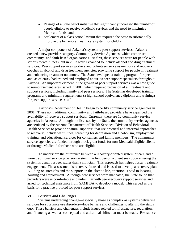- Passage of a State ballot initiative that significantly increased the number of people eligible to receive Medicaid services and the need to maximize Medicaid funds; and
- Settlement of a class action lawsuit that required the State to substantially improve the behavioral health care system for children.

A major component of Arizona's system is peer support services. Arizona created a new provider category, Community Service Agencies, which comprises community- and faith-based organizations. At first, these services were for people with serious mental illness, but in 2003 were expanded to include alcohol and drug treatment services. Peer support services workers and volunteers serve as mentors and recovery coaches in alcohol and drug treatment agencies, providing support for people in treatment and enhancing treatment outcomes. The State developed a training program for peers and, as of 2006, had trained and employed about 70 peer support specialists throughout Arizona. An important element in the growth of peer support services was a new guide to reimbursement rates issued in 2001, which required provision of all treatment and support services, including family and peer services. The State has developed training programs and minimum requirements (a high school equivalency diploma and training) for peer support services staff.

Arizona's Department of Health began to certify community service agencies in 2001. These nontraditional community- and faith-based providers have expanded the availability of recovery support services. Currently, there are 12 community service agencies in Arizona. Although not licensed by the State, the community service agencies are certified by the Arizona Department of Health Services' Division of Behavioral Health Services to provide "natural supports" that use practical and informal approaches to recovery, include warm lines, screening for depression and alcoholism, employment training, and educational services for consumers and family members. The community service agencies are funded through block grant funds for non-Medicaid eligible clients or through Medicaid for those who are eligible.

 To underscore the difference between a recovery-oriented system of care and a more traditional service provision system, the first person a client sees upon entering the system is usually a peer rather than a clinician. This approach has helped foster treatment engagement. The assessment is recovery-focused and is used to develop a recovery plan. Building on strengths and the supports in the client's life, attention is paid to locating housing and employment. Although new services were mandated, the State found that providers were uncomfortable and unfamiliar with peer-recovery support services and asked for technical assistance from SAMHSA to develop a model. This served as the basis for a practice protocol for peer support services.

#### **VII. Barriers and Challenges**

 Systems undergoing change—especially those as complex as systems delivering services for substance use disorders—face barriers and challenges to altering the status quo. These barriers and challenges include issues related to infrastructure, regulation, and financing as well as conceptual and attitudinal shifts that must be made. Resistance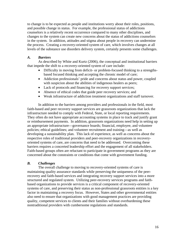to change is to be expected as people and institutions worry about their roles, positions, and possible change in status. For example, the professional status of addictions counselors is a relatively recent occurrence compared to many other disciplines, and changes to the system can create new concerns about the status of addictions counselors in the system. In addition, attitudes and stigma about people in recovery can undermine the process. Creating a recovery-oriented system of care, which involves changes at all levels of the substance use disorders delivery system, certainly presents some challenges.

## *A. Barriers*

 As described by White and Kurtz (2006), the conceptual and institutional barriers that impede the shift to a recovery-oriented system of care include:

- Difficulty in moving from deficit- or problem-focused thinking to a strengthsbased focused thinking and accepting the chronic model of care;
- Addiction professionals' pride and concerns about status and power, coupled with suspicion about the abilities of indigenous healers as peers;
- Lack of protocols and financing for recovery support services;
- Absence of ethical codes that guide peer recovery services; and
- Weak infrastructure of addiction treatment organizations and staff turnover.

 In addition to the barriers among providers and professionals in the field, most faith-based and peer recovery support services are grassroots organizations that lack the infrastructure needed to comply with Federal, State, or local reporting requirements. They often do not have appropriate accounting systems in place to track and justify grant or reimbursement payments. In addition, grassroots organizations need help in setting up an appropriate infrastructure—governance boards; financial, employee, and volunteer policies; ethical guidelines; and volunteer recruitment and training—as well as developing a sustainability plan. This lack of experience, as well as concerns about the respective roles of traditional providers and peer-recovery organizations in recoveryoriented systems of care, are concerns that need to be addressed. Overcoming these barriers requires a concerted leadership effort and the engagement of all stakeholders. Faith-based groups often are reluctant to participate in government programs as they are concerned about the constraints or conditions that come with government funding.

# *B. Challenges*

The overall challenge to moving to recovery-oriented systems of care is maintaining quality assurance standards while preserving the uniqueness of the peerrecovery and faith-based services and integrating recovery support services into a more structured and regulated system. Utilizing peer-recovery services programs and faithbased organizations to provide services is a critical component of recovery-oriented systems of care, and preserving their status as non-professional grassroots entities is a key factor in maintaining a recovery focus. However, States and other governmental entities also need to ensure that organizations with good management practices are providing quality, competent services to clients and their families without overburdening these nontraditional providers with cumbersome regulations and standards.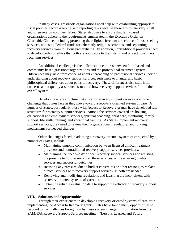In many cases, grassroots organizations need help with establishing appropriate fiscal policies, record-keeping, and reporting tasks because these groups are very small and often rely on volunteer labor. States also have to ensure that faith-based organizations adhere to the requirements enumerated in the Executive Order on Charitable Choice, including protecting the religious freedom and choice of those seeking services, not using Federal funds for inherently religious activities, and separating recovery services from religious proselytizing. In addition, nontraditional providers need to develop codes of ethics that both are applicable to their status and protect consumers receiving services.

 An additional challenge is the difference in cultures between faith-based and community-based grassroots organizations and the professional treatment system. Differences may arise from concerns about encroaching on professional services, lack of understanding about recovery support services, resistance to change, and basic philosophical differences about paths to recovery. These differences also stem from concerns about quality assurance issues and how recovery support services fit into the overall system.

Developing a rate structure that sustains recovery support services is another challenge that States face as they move toward a recovery-oriented system of care. A number of States, particularly those with Access to Recovery grants, have developed rate structures for recovery support services. Among the services covered are housing, educational and employment services, spiritual coaching, child care, mentoring, family support, life skills training, and vocational training. As States implement recovery support services, they need to review their organizational, regulatory, and funding mechanisms for needed changes.

Other challenges faced in adopting a recovery-oriented system of care, cited by a number of States, include:

- Maintaining ongoing communication between licensed clinical treatment providers and nontraditional recovery support services providers;
- Maintaining the "peer-ness" of peer recovery support services and resisting the pressure to "professionalize" these services, while ensuring quality services and successful outcomes;
- Resisting any pressure, due to budget constraints or other reasons, to replace clinical services with recovery support services, as both are needed;
- Reviewing and modifying regulations and laws that are inconsistent with recovery-oriented systems of care; and
- Obtaining reliable evaluation data to support the efficacy of recovery support services.

#### **VIII. Solutions and Opportunities**

 Through their experiences in developing recovery-oriented systems of care or in implementing the Access to Recovery grants, States have found many opportunities to respond to the challenges brought on by these system changes. Information from the SAMHSA Recovery Support Services meeting—"Lessons Learned and Future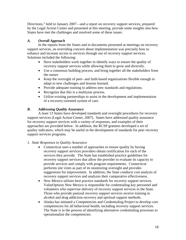Directions," held in January 2007—and a report on recovery support services, prepared by the Legal Action Center and presented at this meeting, provide some insights into how States have met the challenges and resolved some of these issues.

# *A. Overall Approach*

In the reports from the States and in documents presented at meetings on recovery support services, an overriding concern about implementation was precisely how to enhance and increase access to services through use of recovery support services. Solutions included the following:

- Have stakeholders work together to identify ways to ensure the quality of recovery support services while allowing them to grow and diversify.
- Use a consensus building process, and bring together all the stakeholders from the outset.
- Keep the oversight of peer- and faith-based organizations flexible enough to adapt to new challenges and lessons learned.
- Provide adequate training to address new standards and regulations.
- Recognize that this is a multiyear process.
- Utilize existing partnerships to assist in the development and implementation of a recovery-oriented system of care.

# *B. Addressing Quality Assurance*

 A least 13 States have developed standards and oversight procedures for recovery support services (Legal Action Center, 2007). States have addressed quality assurance for recovery support services with a variety of responses, and examples of their approaches are provided below. In addition, the RCSP grantees developed a set of quality indicators, which may be useful in the development of standards for peer recovery support services programs.

# *1. State Responses to Quality Assurance*

- Connecticut uses a number of approaches to ensure quality by having recovery support services providers obtain certification for each of the services they provide. The State has established practice guidelines for recovery support services that allow the provider to evaluate its capacity to provide services and comply with program requirements. Connecticut performs site visits as part of its monitoring oversight and provides suggestions for improvement. In addition, the State conducts cost analysis of recovery support services and analyzes their comparative effectiveness.
- New Mexico utilizes best practice standards for recovery support services. ValueOptions New Mexico is responsible for credentialing key personnel and volunteers who supervise delivery of recovery support services in the State. Those who provide pastoral recovery support services receive training in alcohol and drug addiction recovery and spiritual support methods.
- Alaska has initiated a Competencies and Credentialing Project to develop core competencies for all behavioral health, including recovery support services. The State is in the process of identifying alternative credentialing processes to operationalize the competencies.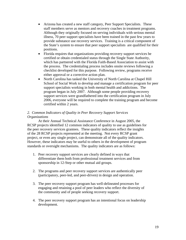- Arizona has created a new staff category, Peer Support Specialists. These staff members serve as mentors and recovery coaches in treatment programs. Although they originally focused on serving individuals with serious mental illness, 70 peer support specialists have been trained in the past few years to provide substance use recovery services. Training is a critical component of the State's system to ensure that peer support specialists are qualified for their positions.
- Florida requires that organizations providing recovery support services be certified or obtain credentialed status through the Single State Authority, which has partnered with the Florida Faith-Based Association to assist with the process. The credentialing process includes onsite reviews following a checklist developed for this purpose. Following review, programs receive either approval or a corrective action plan.
- North Carolina has tasked the University of North Carolina at Chapel Hill School of Social Work to develop and manage a certification program for peer support specialists working in both mental health and addictions. The program began in July 2007. Although some people providing recovery support services were grandfathered into the certification program in July 2006, everyone will be required to complete the training program and become certified within 2 years.

# *2. Common Indicators of Quality in Peer Recovery Support Services Organizations*

At their Annual Technical Assistance Conference in August 2005, the RCSP projects identified 12 common indicators of quality to use as guidelines for the peer recovery services grantees. These quality indicators reflect the insights of the 28 RCSP projects represented at the meeting. Not every RCSP grant project, or even any single project, can demonstrate all of the quality indicators. However, these indicators may be useful to others in the development of program standards or oversight mechanisms. The quality indicators are as follows:

- 1. Peer recovery support services are clearly defined in ways that differentiate them both from professional treatment services and from sponsorship in 12-Step or other mutual aid groups.
- 2. The programs and peer recovery support services are authentically peer (participatory, peer-led, and peer-driven) in design and operation.
- 3. The peer recovery support program has well-delineated processes for engaging and retaining a pool of peer leaders who reflect the diversity of the community and of people seeking recovery support.
- 4. The peer recovery support program has an intentional focus on leadership development.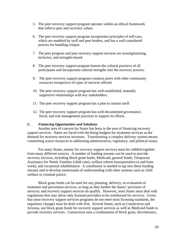- 5. The peer recovery support program operates within an ethical framework that reflects peer and recovery values.
- 6. The peer recovery support program incorporates principles of self-care, which are modeled by staff and peer leaders, and has a well-considered process for handling relapse.
- 7. The peer program and peer recovery support services are nonstigmatizing, inclusive, and strengths-based.
- 8. The peer recovery support program honors the cultural practices of all participants and incorporates cultural strengths into the recovery process.
- 9. The peer recovery support program connects peers with other community resources irrespective of types of services offered.
- 10. The peer recovery support program has well-established, mutually supportive relationships with key stakeholders.
- 11. The peer recovery support program has a plan to sustain itself.
- 12. The peer recovery support program has well-documented governance, fiscal, and risk management practices to support its efforts.

#### *C. Financing Opportunities and Solutions*

 Another area of concern for States has been in the area of financing recovery support services. States are faced with declining budgets for treatment services as the demand for recovery services increases. Transforming a complex delivery system means committing scarce resources to addressing administrative, regulatory, and political issues.

For many States, money for recovery support services must be cobbled together from many different sources. A number of funding streams can be used to provide recovery services, including block grant funds, Medicaid, general funds; Temporary Assistance for Needy Families (child care), welfare reform (transportation to and from work), and vocational rehabilitation. A coordinator is needed to tap into these funding streams and to develop memoranda of understanding with other systems such as child welfare or criminal justice.

Block grant funds can be used for any planning, delivery, or evaluation of treatment and prevention services, as long as they further the States' provision of services; and recovery support services do qualify. However, most States must deal with regulations that may allow only licensed providers to be reimbursed for services. Given that most recovery support services programs do not meet most licensing standards, the regulatory changes must be dealt with first. Several States, such as Connecticut and Arizona, use block grant funds for recovery support services as well as Medicaid funds to provide recovery services. Connecticut uses a combination of block grant, discretionary,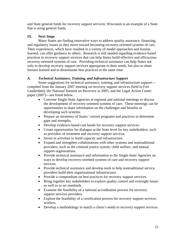and State general funds for recovery support services; Wisconsin is an example of a State that is using general funds.

# **IX. Next Steps**

 Many States are finding innovative ways to address quality assurance, financing, and regulatory issues as they move toward becoming recovery-oriented systems of care. Their experiences, which have resulted in a variety of model approaches and lessons learned, can offer guidance to others. Research is still needed regarding evidence-based practices in recovery support services that can help States build effective and efficacious recovery-oriented systems of care. Providing technical assistance can help States not only to develop recovery support services appropriate to their needs, but also to share lessons learned and to disseminate best practices at the same time.

# *A. Technical Assistance, Training, and Infrastructure Support*

Some suggestions for technical assistance, training, and infrastructure support compiled from the January 2007 meeting on recovery support services (held in Fort Lauderdale), the National Summit on Recovery in 2005, and the Legal Action Center paper (2007)—are listed below.

- Convene Single-State Agencies at regional and national meetings to discuss the development of recovery-oriented systems of care. These meetings can be opportunities to share information on the challenges and benefits in developing such systems.
- Prepare an inventory of States' current programs and practices to determine gaps and strengths.
- Develop evidence-based cost bands for recovery support services.
- Create opportunities for dialogue at the State level for key stakeholders, such as providers of treatment and recovery support services.
- Invest in activities to build capacity and infrastructure.
- Expand and strengthen collaborations with other systems and nontraditional providers, such as the criminal justice system, child welfare, and mutual support organizations.
- Provide technical assistance and information to the Single-State Agencies on ways to develop recovery-oriented systems of care and recovery support services.
- Provide technical assistance and develop tools to help nontraditional service providers build their organizational infrastructure.
- Provide a compendium on best practices for recovery support services.
- Bring together key stakeholders to explore quality control and oversight issues as well as to set standards.
- Examine the feasibility of a national accreditation process for recovery support services providers.
- Explore the feasibility of a certification process for recovery support services workers.
- Develop a methodology to match a client's needs to recovery support services.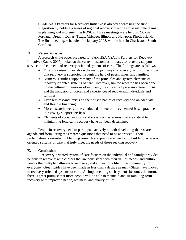SAMHSA's Partners for Recovery Initiative is already addressing the first suggestion by holding a series of regional recovery meetings to assist state teams in planning and implementing ROSCs. Three meetings were held in 2007 in Portland, Oregon, Dallas, Texas, Chicago, Illinois and Newport, Rhode Island. The final meeting, scheduled for January 2008, will be held in Charleston, South Carolina.

## *B. Research Issues*

A research white paper prepared for SAMHSA/CSAT's Partners for Recovery Initiative (Kautz, 2007) looked at the current research as it relates to recovery support services and elements of recovery-oriented systems of care. The findings are as follows:

- Extensive research exists on the many pathways to recovery, and studies show that recovery is supported through the help of peers, allies, and families.
- Numerous studies support many of the principles and system elements of recovery-oriented systems of care. However, limited research has been done on the cultural dimensions of recovery, the concept of person-centered focus, and the inclusion of voices and experiences of recovering individuals and families.
- Even less research exists on the holistic nature of recovery and on adequate and flexible financing.
- More research needs to be conducted to determine evidenced-based practices in recovery support services.
- Elements of social supports and social connectedness that are critical to maintaining long-term recovery have not been determined.

People in recovery need to participate actively in both developing the research agenda and formulating the research questions that need to be addressed. Their participation is essential to blending research and practice as well as to building recoveryoriented systems of care that truly meet the needs of those seeking recovery.

# **X. Conclusion**

 A recovery-oriented system of care focuses on the individual and family; provides persons in recovery with choices that are consistent with their values, needs, and culture; honors the multiple pathways to recovery; and allows for a life in the community for everyone. Great strides have been made in less than a decade as many States have moved to recovery-oriented systems of care. As implementing such systems becomes the norm, there is great promise that more people will be able to maintain and sustain long-term recovery with improved health, wellness, and quality of life.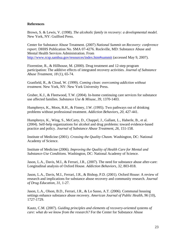#### **References**

Brown, S. & Lewis, V. (1998). *The alcoholic family in recovery: a developmental model.*  New York, NY: Guilford Press.

Center for Substance Abuse Treatment. (2007) *National Summit on Recovery: conference report.* DHHS Publication No. SMA 07-4276. Rockville, MD: Substance Abuse and Mental Health Services Administration. From <http://www.rcsp.samhsa.gov/resources/index.htm#summit> (accessed May 9, 2007).

Fiorentine, R., & Hillhouse, M. (2000). Drug treatment and 12-step program participation: The additive effects of integrated recovery activities. *Journal of Substance Abuse Treatment, 18* (1), 65-74.

Granfield, R., & Cloud, W. (1999). *Coming clean: overcoming addiction without treatment.* New York, NY: New York University Press.

Gruber, K.J., & Fleetwood, T.W. (2004). In-home continuing care services for substance use affected families. *Substance Use & Misuse, 39,* 1370-1403.

Humphreys, K., Moos, R.H., & Finney, J.W. (1995). Two pathways out of drinking problems without professional treatment. *Addiction Behaviors, 20,* 427-441.

Humphreys, K., Wing, S., McCarty, D., Chappel, J., Gallant, L., Haberle, B., et al. (2004). Self-help organizations for alcohol and drug problems: toward evidence-based practice and policy. *Journal of Substance Abuse Treatment, 26,* 151-158.

Institute of Medicine (2001). *Crossing the Quality Chasm.* Washington, DC: National Academy of Science.

Institute of Medicine (2006). *Improving the Quality of Health Care for Mental and Substance-Use Conditions.* Washington, DC: National Academy of Science.

Jason, L.A., Davis, M.I., & Ferrari, J.R., (2007). The need for substance abuse after-care: Longitudinal analysis of Oxford House. *Addiction Behaviors, 32,* 803-818.

Jason, L.A., Davis, M.I., Ferrari, J.R., & Bishop, P.D. (2001). Oxford House: A review of research and implications for substance abuse recovery and community research. *Journal of Drug Education, 31,* 1-27.

Jason, L.A., Olson, B.D., Ferrari, J.R., & Lo Sasso, A.T. (2006). Communal housing settings enhance substance abuse recovery. *American Journal of Public Health, 96* (10), 1727-1729.

Kautz, C.M. (2007). *Guiding principles and elements of recovery-oriented systems of care: what do we know from the research?* For the Center for Substance Abuse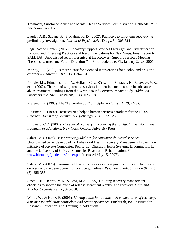Treatment, Substance Abuse and Mental Health Services Administration. Bethesda, MD: Abt Associates, Inc.

Laudet, A.B., Savage, R., & Mahmood, D. (2002). Pathways to long-term recovery: A preliminary investigation. *Journal of Psychoactive* Drugs, 34, 305-311.

Legal Action Center. (2007). Recovery Support Services Oversight and Diversification: Existing and Emerging Practices and Recommendations for Next Steps. Final Report to SAMHSA. Unpublished report presented at the Recovery Support Services Meeting "Lessons Learned and Future Directions" in Fort Lauderdale, FL, January 22-23, 2007.

McKay, J.R. (2005). Is there a case for extended interventions for alcohol and drug use disorders? *Addiction, 100* (11), 1594-1610.

Pringle, J.L., Edmondston, L.A., Holland, C.L., Kirisci, L., Emptage, N., Balavage, V.K., et al. (2002). The role of wrap around services in retention and outcome in substance abuse treatment: Findings from the Wrap Around Services Impact Study. *Addiction Disorders and Their Treatment, 1* (4), 109-118.

Riessman, F. (1965). The "helper-therapy" principle. *Social Work, 10*, 24-32.

Riessman, F. (1990). Restructuring help: a human services paradigm for the 1990s. *American Journal of Community Psychology, 18* (2), 221-230.

Ringwald, C.D. (2002). *The soul of recovery: uncovering the spiritual dimension in the treatment of addictions.* New York: Oxford University Press.

Salzer, M. (2002a). *Best practice guidelines for consumer-delivered services*. Unpublished paper developed for Behavioral Health Recovery Management Project. An initiative of Fayette Companies, Peoria, IL; Chestnut Health Systems, Bloomington, IL; and the University of Chicago Center for Psychiatric Rehabilitation. From [www.bhrm.org/guidelines/salzer.pdf](http://www.bhrm.org/guidelines/salzer.pdf) (accessed May 15, 2007).

Salzer, M. (2002b). Consumer-delivered services as a best practice in mental health care delivery and the development of practice guidelines. *Psychiatric Rehabilitation Skills, 6*  (3), 355-383

Scott, C.K., Dennis, M.L., & Foss, M.A. (2005). Utilizing recovery management checkups to shorten the cycle of relapse, treatment reentry, and recovery. *Drug and Alcohol Dependence, 78,* 325-338.

White, W., & Kurtz, E. (2006). *Linking addiction treatment & communities of recovery: a primer for addiction counselors and recovery coaches.* Pittsburgh, PA: Institute for Research, Education, and Training in Addictions.